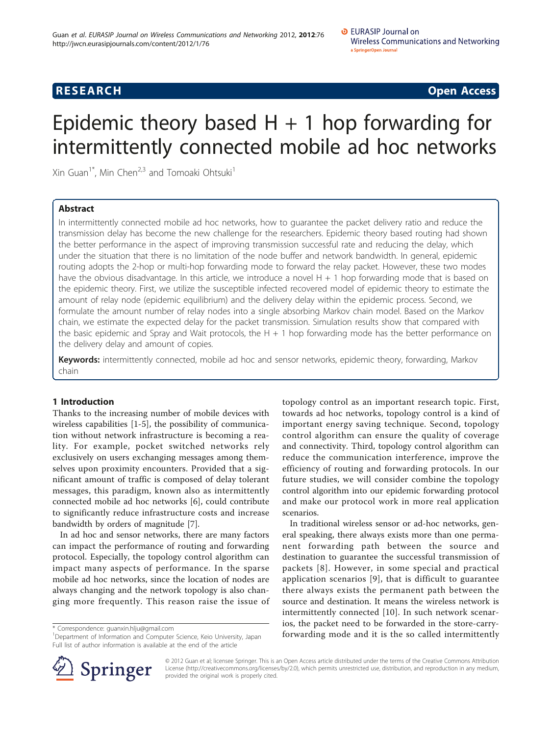**RESEARCH CONSTRUCTION CONSTRUCTS** 

# Epidemic theory based  $H + 1$  hop forwarding for intermittently connected mobile ad hoc networks

Xin Guan<sup>1\*</sup>, Min Chen<sup>2,3</sup> and Tomoaki Ohtsuki<sup>1</sup>

# Abstract

In intermittently connected mobile ad hoc networks, how to guarantee the packet delivery ratio and reduce the transmission delay has become the new challenge for the researchers. Epidemic theory based routing had shown the better performance in the aspect of improving transmission successful rate and reducing the delay, which under the situation that there is no limitation of the node buffer and network bandwidth. In general, epidemic routing adopts the 2-hop or multi-hop forwarding mode to forward the relay packet. However, these two modes have the obvious disadvantage. In this article, we introduce a novel H + 1 hop forwarding mode that is based on the epidemic theory. First, we utilize the susceptible infected recovered model of epidemic theory to estimate the amount of relay node (epidemic equilibrium) and the delivery delay within the epidemic process. Second, we formulate the amount number of relay nodes into a single absorbing Markov chain model. Based on the Markov chain, we estimate the expected delay for the packet transmission. Simulation results show that compared with the basic epidemic and Spray and Wait protocols, the  $H + 1$  hop forwarding mode has the better performance on the delivery delay and amount of copies.

Keywords: intermittently connected, mobile ad hoc and sensor networks, epidemic theory, forwarding, Markov chain

# 1 Introduction

Thanks to the increasing number of mobile devices with wireless capabilities [\[1](#page-9-0)-[5\]](#page-9-0), the possibility of communication without network infrastructure is becoming a reality. For example, pocket switched networks rely exclusively on users exchanging messages among themselves upon proximity encounters. Provided that a significant amount of traffic is composed of delay tolerant messages, this paradigm, known also as intermittently connected mobile ad hoc networks [\[6](#page-9-0)], could contribute to significantly reduce infrastructure costs and increase bandwidth by orders of magnitude [\[7](#page-9-0)].

In ad hoc and sensor networks, there are many factors can impact the performance of routing and forwarding protocol. Especially, the topology control algorithm can impact many aspects of performance. In the sparse mobile ad hoc networks, since the location of nodes are always changing and the network topology is also changing more frequently. This reason raise the issue of

topology control as an important research topic. First, towards ad hoc networks, topology control is a kind of important energy saving technique. Second, topology control algorithm can ensure the quality of coverage and connectivity. Third, topology control algorithm can reduce the communication interference, improve the efficiency of routing and forwarding protocols. In our future studies, we will consider combine the topology control algorithm into our epidemic forwarding protocol and make our protocol work in more real application scenarios.

In traditional wireless sensor or ad-hoc networks, general speaking, there always exists more than one permanent forwarding path between the source and destination to guarantee the successful transmission of packets [[8\]](#page-9-0). However, in some special and practical application scenarios [\[9](#page-9-0)], that is difficult to guarantee there always exists the permanent path between the source and destination. It means the wireless network is intermittently connected [[10](#page-9-0)]. In such network scenarios, the packet need to be forwarded in the store-carryforwarding mode and it is the so called intermittently \* Correspondence: [guanxin.hlju@gmail.com](mailto:guanxin.hlju@gmail.com)



© 2012 Guan et al; licensee Springer. This is an Open Access article distributed under the terms of the Creative Commons Attribution License [\(http://creativecommons.org/licenses/by/2.0](http://creativecommons.org/licenses/by/2.0)), which permits unrestricted use, distribution, and reproduction in any medium, provided the original work is properly cited.

<sup>&</sup>lt;sup>1</sup>Department of Information and Computer Science, Keio University, Japan Full list of author information is available at the end of the article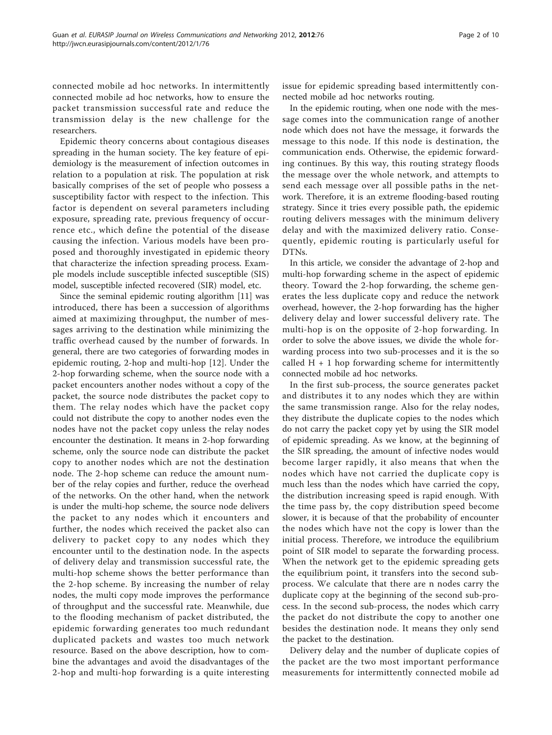connected mobile ad hoc networks. In intermittently connected mobile ad hoc networks, how to ensure the packet transmission successful rate and reduce the transmission delay is the new challenge for the researchers.

Epidemic theory concerns about contagious diseases spreading in the human society. The key feature of epidemiology is the measurement of infection outcomes in relation to a population at risk. The population at risk basically comprises of the set of people who possess a susceptibility factor with respect to the infection. This factor is dependent on several parameters including exposure, spreading rate, previous frequency of occurrence etc., which define the potential of the disease causing the infection. Various models have been proposed and thoroughly investigated in epidemic theory that characterize the infection spreading process. Example models include susceptible infected susceptible (SIS) model, susceptible infected recovered (SIR) model, etc.

Since the seminal epidemic routing algorithm [\[11](#page-9-0)] was introduced, there has been a succession of algorithms aimed at maximizing throughput, the number of messages arriving to the destination while minimizing the traffic overhead caused by the number of forwards. In general, there are two categories of forwarding modes in epidemic routing, 2-hop and multi-hop [[12\]](#page-9-0). Under the 2-hop forwarding scheme, when the source node with a packet encounters another nodes without a copy of the packet, the source node distributes the packet copy to them. The relay nodes which have the packet copy could not distribute the copy to another nodes even the nodes have not the packet copy unless the relay nodes encounter the destination. It means in 2-hop forwarding scheme, only the source node can distribute the packet copy to another nodes which are not the destination node. The 2-hop scheme can reduce the amount number of the relay copies and further, reduce the overhead of the networks. On the other hand, when the network is under the multi-hop scheme, the source node delivers the packet to any nodes which it encounters and further, the nodes which received the packet also can delivery to packet copy to any nodes which they encounter until to the destination node. In the aspects of delivery delay and transmission successful rate, the multi-hop scheme shows the better performance than the 2-hop scheme. By increasing the number of relay nodes, the multi copy mode improves the performance of throughput and the successful rate. Meanwhile, due to the flooding mechanism of packet distributed, the epidemic forwarding generates too much redundant duplicated packets and wastes too much network resource. Based on the above description, how to combine the advantages and avoid the disadvantages of the 2-hop and multi-hop forwarding is a quite interesting issue for epidemic spreading based intermittently connected mobile ad hoc networks routing.

In the epidemic routing, when one node with the message comes into the communication range of another node which does not have the message, it forwards the message to this node. If this node is destination, the communication ends. Otherwise, the epidemic forwarding continues. By this way, this routing strategy floods the message over the whole network, and attempts to send each message over all possible paths in the network. Therefore, it is an extreme flooding-based routing strategy. Since it tries every possible path, the epidemic routing delivers messages with the minimum delivery delay and with the maximized delivery ratio. Consequently, epidemic routing is particularly useful for DTNs.

In this article, we consider the advantage of 2-hop and multi-hop forwarding scheme in the aspect of epidemic theory. Toward the 2-hop forwarding, the scheme generates the less duplicate copy and reduce the network overhead, however, the 2-hop forwarding has the higher delivery delay and lower successful delivery rate. The multi-hop is on the opposite of 2-hop forwarding. In order to solve the above issues, we divide the whole forwarding process into two sub-processes and it is the so called  $H + 1$  hop forwarding scheme for intermittently connected mobile ad hoc networks.

In the first sub-process, the source generates packet and distributes it to any nodes which they are within the same transmission range. Also for the relay nodes, they distribute the duplicate copies to the nodes which do not carry the packet copy yet by using the SIR model of epidemic spreading. As we know, at the beginning of the SIR spreading, the amount of infective nodes would become larger rapidly, it also means that when the nodes which have not carried the duplicate copy is much less than the nodes which have carried the copy, the distribution increasing speed is rapid enough. With the time pass by, the copy distribution speed become slower, it is because of that the probability of encounter the nodes which have not the copy is lower than the initial process. Therefore, we introduce the equilibrium point of SIR model to separate the forwarding process. When the network get to the epidemic spreading gets the equilibrium point, it transfers into the second subprocess. We calculate that there are n nodes carry the duplicate copy at the beginning of the second sub-process. In the second sub-process, the nodes which carry the packet do not distribute the copy to another one besides the destination node. It means they only send the packet to the destination.

Delivery delay and the number of duplicate copies of the packet are the two most important performance measurements for intermittently connected mobile ad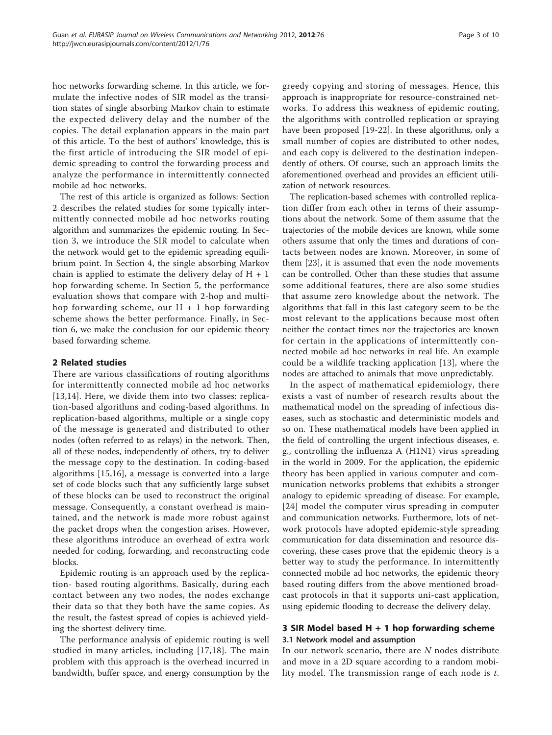hoc networks forwarding scheme. In this article, we formulate the infective nodes of SIR model as the transition states of single absorbing Markov chain to estimate the expected delivery delay and the number of the copies. The detail explanation appears in the main part of this article. To the best of authors' knowledge, this is the first article of introducing the SIR model of epidemic spreading to control the forwarding process and analyze the performance in intermittently connected mobile ad hoc networks.

The rest of this article is organized as follows: Section 2 describes the related studies for some typically intermittently connected mobile ad hoc networks routing algorithm and summarizes the epidemic routing. In Section 3, we introduce the SIR model to calculate when the network would get to the epidemic spreading equilibrium point. In Section 4, the single absorbing Markov chain is applied to estimate the delivery delay of  $H + 1$ hop forwarding scheme. In Section 5, the performance evaluation shows that compare with 2-hop and multihop forwarding scheme, our  $H + 1$  hop forwarding scheme shows the better performance. Finally, in Section 6, we make the conclusion for our epidemic theory based forwarding scheme.

# 2 Related studies

There are various classifications of routing algorithms for intermittently connected mobile ad hoc networks [[13,14](#page-9-0)]. Here, we divide them into two classes: replication-based algorithms and coding-based algorithms. In replication-based algorithms, multiple or a single copy of the message is generated and distributed to other nodes (often referred to as relays) in the network. Then, all of these nodes, independently of others, try to deliver the message copy to the destination. In coding-based algorithms [[15,16](#page-9-0)], a message is converted into a large set of code blocks such that any sufficiently large subset of these blocks can be used to reconstruct the original message. Consequently, a constant overhead is maintained, and the network is made more robust against the packet drops when the congestion arises. However, these algorithms introduce an overhead of extra work needed for coding, forwarding, and reconstructing code blocks.

Epidemic routing is an approach used by the replication- based routing algorithms. Basically, during each contact between any two nodes, the nodes exchange their data so that they both have the same copies. As the result, the fastest spread of copies is achieved yielding the shortest delivery time.

The performance analysis of epidemic routing is well studied in many articles, including [[17](#page-9-0),[18](#page-9-0)]. The main problem with this approach is the overhead incurred in bandwidth, buffer space, and energy consumption by the

greedy copying and storing of messages. Hence, this approach is inappropriate for resource-constrained networks. To address this weakness of epidemic routing, the algorithms with controlled replication or spraying have been proposed [[19](#page-9-0)-[22\]](#page-9-0). In these algorithms, only a small number of copies are distributed to other nodes, and each copy is delivered to the destination independently of others. Of course, such an approach limits the aforementioned overhead and provides an efficient utilization of network resources.

The replication-based schemes with controlled replication differ from each other in terms of their assumptions about the network. Some of them assume that the trajectories of the mobile devices are known, while some others assume that only the times and durations of contacts between nodes are known. Moreover, in some of them [[23](#page-9-0)], it is assumed that even the node movements can be controlled. Other than these studies that assume some additional features, there are also some studies that assume zero knowledge about the network. The algorithms that fall in this last category seem to be the most relevant to the applications because most often neither the contact times nor the trajectories are known for certain in the applications of intermittently connected mobile ad hoc networks in real life. An example could be a wildlife tracking application [[13\]](#page-9-0), where the nodes are attached to animals that move unpredictably.

In the aspect of mathematical epidemiology, there exists a vast of number of research results about the mathematical model on the spreading of infectious diseases, such as stochastic and deterministic models and so on. These mathematical models have been applied in the field of controlling the urgent infectious diseases, e. g., controlling the influenza A (H1N1) virus spreading in the world in 2009. For the application, the epidemic theory has been applied in various computer and communication networks problems that exhibits a stronger analogy to epidemic spreading of disease. For example, [[24](#page-9-0)] model the computer virus spreading in computer and communication networks. Furthermore, lots of network protocols have adopted epidemic-style spreading communication for data dissemination and resource discovering, these cases prove that the epidemic theory is a better way to study the performance. In intermittently connected mobile ad hoc networks, the epidemic theory based routing differs from the above mentioned broadcast protocols in that it supports uni-cast application, using epidemic flooding to decrease the delivery delay.

# 3 SIR Model based H + 1 hop forwarding scheme 3.1 Network model and assumption

In our network scenario, there are N nodes distribute and move in a 2D square according to a random mobility model. The transmission range of each node is t.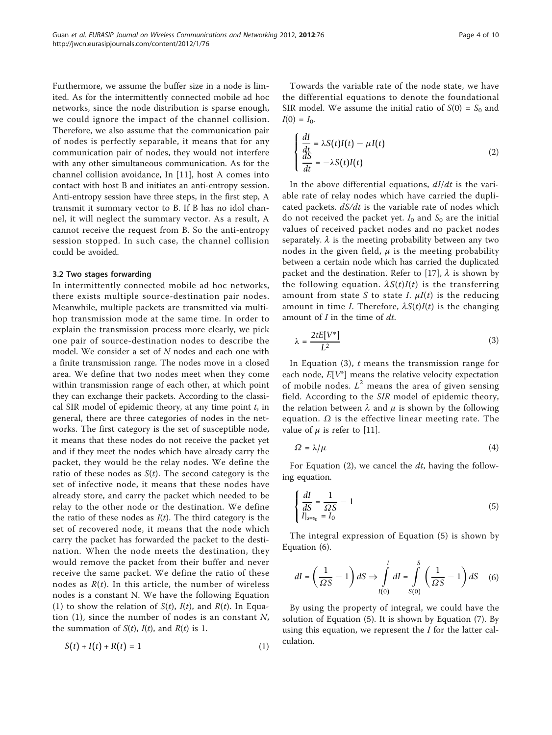Furthermore, we assume the buffer size in a node is limited. As for the intermittently connected mobile ad hoc networks, since the node distribution is sparse enough, we could ignore the impact of the channel collision. Therefore, we also assume that the communication pair of nodes is perfectly separable, it means that for any communication pair of nodes, they would not interfere with any other simultaneous communication. As for the channel collision avoidance, In [[11\]](#page-9-0), host A comes into contact with host B and initiates an anti-entropy session. Anti-entropy session have three steps, in the first step, A transmit it summary vector to B. If B has no idol channel, it will neglect the summary vector. As a result, A cannot receive the request from B. So the anti-entropy session stopped. In such case, the channel collision could be avoided.

#### 3.2 Two stages forwarding

In intermittently connected mobile ad hoc networks, there exists multiple source-destination pair nodes. Meanwhile, multiple packets are transmitted via multihop transmission mode at the same time. In order to explain the transmission process more clearly, we pick one pair of source-destination nodes to describe the model. We consider a set of N nodes and each one with a finite transmission range. The nodes move in a closed area. We define that two nodes meet when they come within transmission range of each other, at which point they can exchange their packets. According to the classical SIR model of epidemic theory, at any time point  $t$ , in general, there are three categories of nodes in the networks. The first category is the set of susceptible node, it means that these nodes do not receive the packet yet and if they meet the nodes which have already carry the packet, they would be the relay nodes. We define the ratio of these nodes as  $S(t)$ . The second category is the set of infective node, it means that these nodes have already store, and carry the packet which needed to be relay to the other node or the destination. We define the ratio of these nodes as  $I(t)$ . The third category is the set of recovered node, it means that the node which carry the packet has forwarded the packet to the destination. When the node meets the destination, they would remove the packet from their buffer and never receive the same packet. We define the ratio of these nodes as  $R(t)$ . In this article, the number of wireless nodes is a constant N. We have the following Equation (1) to show the relation of  $S(t)$ ,  $I(t)$ , and  $R(t)$ . In Equation  $(1)$ , since the number of nodes is an constant N, the summation of  $S(t)$ ,  $I(t)$ , and  $R(t)$  is 1.

$$
S(t) + I(t) + R(t) = 1
$$
 (1)

Towards the variable rate of the node state, we have the differential equations to denote the foundational SIR model. We assume the initial ratio of  $S(0) = S_0$  and  $I(0) = I_0$ .

$$
\begin{cases}\n\frac{dI}{dt} = \lambda S(t)I(t) - \mu I(t) \\
\frac{dS}{dt} = -\lambda S(t)I(t)\n\end{cases}
$$
\n(2)

In the above differential equations,  $dI/dt$  is the variable rate of relay nodes which have carried the duplicated packets.  $dS/dt$  is the variable rate of nodes which do not received the packet yet.  $I_0$  and  $S_0$  are the initial values of received packet nodes and no packet nodes separately.  $\lambda$  is the meeting probability between any two nodes in the given field,  $\mu$  is the meeting probability between a certain node which has carried the duplicated packet and the destination. Refer to [[17](#page-9-0)],  $\lambda$  is shown by the following equation.  $\lambda S(t)I(t)$  is the transferring amount from state S to state I.  $\mu I(t)$  is the reducing amount in time *I*. Therefore,  $\lambda S(t)I(t)$  is the changing amount of  $I$  in the time of  $dt$ .

$$
\lambda = \frac{2tE[V^*]}{L^2} \tag{3}
$$

In Equation  $(3)$ , t means the transmission range for each node,  $E[V^*]$  means the relative velocity expectation of mobile nodes.  $L^2$  means the area of given sensing field. According to the SIR model of epidemic theory, the relation between  $\lambda$  and  $\mu$  is shown by the following equation.  $Ω$  is the effective linear meeting rate. The value of  $\mu$  is refer to [\[11\]](#page-9-0).

$$
\Omega = \lambda / \mu \tag{4}
$$

For Equation (2), we cancel the  $dt$ , having the following equation.

$$
\begin{cases}\n\frac{dI}{dS} = \frac{1}{\Omega S} - 1\\ I|_{s=s_0} = I_0\n\end{cases}
$$
\n(5)

The integral expression of Equation (5) is shown by Equation (6).

$$
dI = \left(\frac{1}{\Omega S} - 1\right) dS \Rightarrow \int_{I(0)}^{I} dI = \int_{S(0)}^{S} \left(\frac{1}{\Omega S} - 1\right) dS \quad (6)
$$

By using the property of integral, we could have the solution of Equation (5). It is shown by Equation (7). By using this equation, we represent the  $I$  for the latter calculation.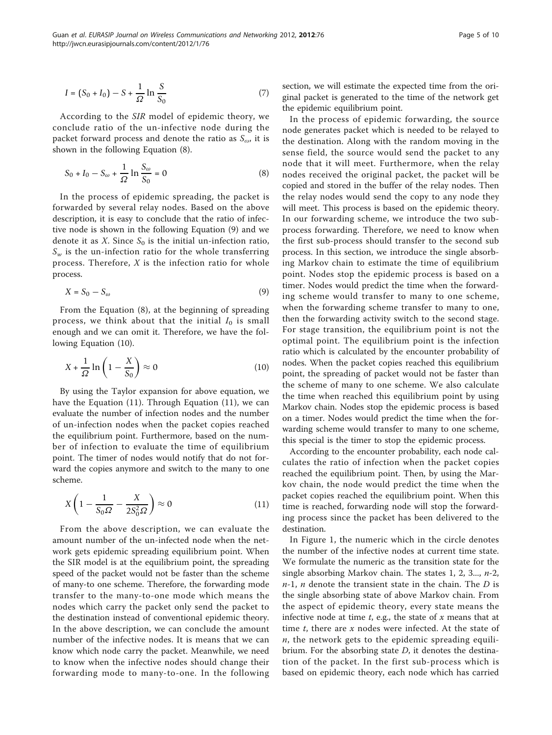$$
I = (S_0 + I_0) - S + \frac{1}{\Omega} \ln \frac{S}{S_0}
$$
 (7)

According to the SIR model of epidemic theory, we conclude ratio of the un-infective node during the packet forward process and denote the ratio as  $S_{\omega}$ , it is shown in the following Equation (8).

$$
S_0 + I_0 - S_\omega + \frac{1}{\Omega} \ln \frac{S_\omega}{S_0} = 0
$$
 (8)

In the process of epidemic spreading, the packet is forwarded by several relay nodes. Based on the above description, it is easy to conclude that the ratio of infective node is shown in the following Equation (9) and we denote it as X. Since  $S_0$  is the initial un-infection ratio,  $S_w$  is the un-infection ratio for the whole transferring process. Therefore,  $X$  is the infection ratio for whole process.

$$
X = S_0 - S_\omega \tag{9}
$$

From the Equation (8), at the beginning of spreading process, we think about that the initial  $I_0$  is small enough and we can omit it. Therefore, we have the following Equation (10).

$$
X + \frac{1}{\Omega} \ln \left( 1 - \frac{X}{S_0} \right) \approx 0 \tag{10}
$$

By using the Taylor expansion for above equation, we have the Equation (11). Through Equation (11), we can evaluate the number of infection nodes and the number of un-infection nodes when the packet copies reached the equilibrium point. Furthermore, based on the number of infection to evaluate the time of equilibrium point. The timer of nodes would notify that do not forward the copies anymore and switch to the many to one scheme.

$$
X\left(1 - \frac{1}{S_0\Omega} - \frac{X}{2S_0^2\Omega}\right) \approx 0\tag{11}
$$

From the above description, we can evaluate the amount number of the un-infected node when the network gets epidemic spreading equilibrium point. When the SIR model is at the equilibrium point, the spreading speed of the packet would not be faster than the scheme of many-to one scheme. Therefore, the forwarding mode transfer to the many-to-one mode which means the nodes which carry the packet only send the packet to the destination instead of conventional epidemic theory. In the above description, we can conclude the amount number of the infective nodes. It is means that we can know which node carry the packet. Meanwhile, we need to know when the infective nodes should change their forwarding mode to many-to-one. In the following section, we will estimate the expected time from the original packet is generated to the time of the network get the epidemic equilibrium point.

In the process of epidemic forwarding, the source node generates packet which is needed to be relayed to the destination. Along with the random moving in the sense field, the source would send the packet to any node that it will meet. Furthermore, when the relay nodes received the original packet, the packet will be copied and stored in the buffer of the relay nodes. Then the relay nodes would send the copy to any node they will meet. This process is based on the epidemic theory. In our forwarding scheme, we introduce the two subprocess forwarding. Therefore, we need to know when the first sub-process should transfer to the second sub process. In this section, we introduce the single absorbing Markov chain to estimate the time of equilibrium point. Nodes stop the epidemic process is based on a timer. Nodes would predict the time when the forwarding scheme would transfer to many to one scheme, when the forwarding scheme transfer to many to one, then the forwarding activity switch to the second stage. For stage transition, the equilibrium point is not the optimal point. The equilibrium point is the infection ratio which is calculated by the encounter probability of nodes. When the packet copies reached this equilibrium point, the spreading of packet would not be faster than the scheme of many to one scheme. We also calculate the time when reached this equilibrium point by using Markov chain. Nodes stop the epidemic process is based on a timer. Nodes would predict the time when the forwarding scheme would transfer to many to one scheme, this special is the timer to stop the epidemic process.

According to the encounter probability, each node calculates the ratio of infection when the packet copies reached the equilibrium point. Then, by using the Markov chain, the node would predict the time when the packet copies reached the equilibrium point. When this time is reached, forwarding node will stop the forwarding process since the packet has been delivered to the destination.

In Figure [1,](#page-5-0) the numeric which in the circle denotes the number of the infective nodes at current time state. We formulate the numeric as the transition state for the single absorbing Markov chain. The states  $1, 2, 3...$ ,  $n-2$ ,  $n-1$ , *n* denote the transient state in the chain. The *D* is the single absorbing state of above Markov chain. From the aspect of epidemic theory, every state means the infective node at time  $t$ , e.g., the state of  $x$  means that at time  $t$ , there are x nodes were infected. At the state of  $n$ , the network gets to the epidemic spreading equilibrium. For the absorbing state  $D$ , it denotes the destination of the packet. In the first sub-process which is based on epidemic theory, each node which has carried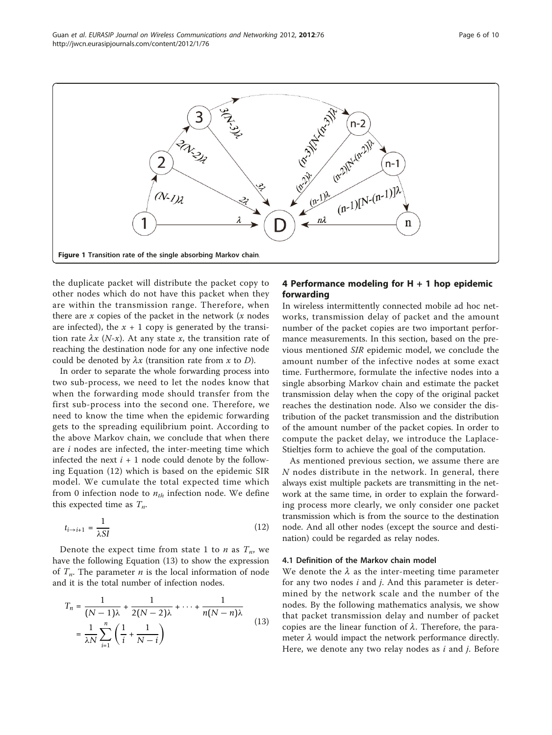<span id="page-5-0"></span>

the duplicate packet will distribute the packet copy to other nodes which do not have this packet when they are within the transmission range. Therefore, when there are  $x$  copies of the packet in the network  $(x \text{ nodes})$ are infected), the  $x + 1$  copy is generated by the transition rate  $\lambda x$  (N-x). At any state x, the transition rate of reaching the destination node for any one infective node could be denoted by  $\lambda x$  (transition rate from x to D).

In order to separate the whole forwarding process into two sub-process, we need to let the nodes know that when the forwarding mode should transfer from the first sub-process into the second one. Therefore, we need to know the time when the epidemic forwarding gets to the spreading equilibrium point. According to the above Markov chain, we conclude that when there are  $i$  nodes are infected, the inter-meeting time which infected the next  $i + 1$  node could denote by the following Equation (12) which is based on the epidemic SIR model. We cumulate the total expected time which from 0 infection node to  $n_{th}$  infection node. We define this expected time as  $T_n$ .

$$
t_{i \to i+1} = \frac{1}{\lambda SI} \tag{12}
$$

Denote the expect time from state 1 to *n* as  $T_n$ , we have the following Equation (13) to show the expression of  $T_n$ . The parameter *n* is the local information of node and it is the total number of infection nodes.

$$
T_n = \frac{1}{(N-1)\lambda} + \frac{1}{2(N-2)\lambda} + \dots + \frac{1}{n(N-n)\lambda}
$$

$$
= \frac{1}{\lambda N} \sum_{i=1}^n \left(\frac{1}{i} + \frac{1}{N-i}\right)
$$
(13)

# 4 Performance modeling for  $H + 1$  hop epidemic forwarding

In wireless intermittently connected mobile ad hoc networks, transmission delay of packet and the amount number of the packet copies are two important performance measurements. In this section, based on the previous mentioned SIR epidemic model, we conclude the amount number of the infective nodes at some exact time. Furthermore, formulate the infective nodes into a single absorbing Markov chain and estimate the packet transmission delay when the copy of the original packet reaches the destination node. Also we consider the distribution of the packet transmission and the distribution of the amount number of the packet copies. In order to compute the packet delay, we introduce the Laplace-Stieltjes form to achieve the goal of the computation.

As mentioned previous section, we assume there are N nodes distribute in the network. In general, there always exist multiple packets are transmitting in the network at the same time, in order to explain the forwarding process more clearly, we only consider one packet transmission which is from the source to the destination node. And all other nodes (except the source and destination) could be regarded as relay nodes.

### 4.1 Definition of the Markov chain model

We denote the  $\lambda$  as the inter-meeting time parameter for any two nodes  $i$  and  $j$ . And this parameter is determined by the network scale and the number of the nodes. By the following mathematics analysis, we show that packet transmission delay and number of packet copies are the linear function of  $\lambda$ . Therefore, the parameter  $\lambda$  would impact the network performance directly. Here, we denote any two relay nodes as  $i$  and  $j$ . Before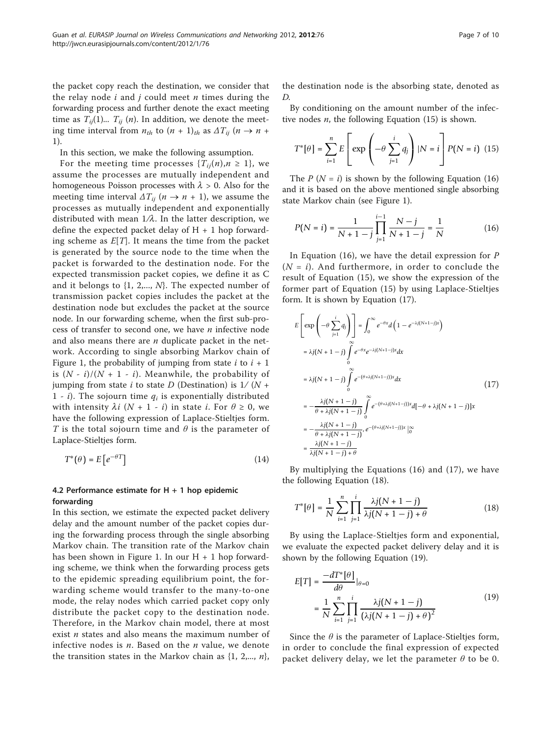the packet copy reach the destination, we consider that the relay node  $i$  and  $j$  could meet  $n$  times during the forwarding process and further denote the exact meeting time as  $T_{ij}(1)... T_{ij}(n)$ . In addition, we denote the meeting time interval from  $n_{th}$  to  $(n + 1)_{th}$  as  $\Delta T_{ij}$   $(n \rightarrow n + 1)$ 1).

In this section, we make the following assumption.

For the meeting time processes  $\{T_{ii}(n), n \geq 1\}$ , we assume the processes are mutually independent and homogeneous Poisson processes with  $\lambda > 0$ . Also for the meeting time interval  $\Delta T_{ij}$  ( $n \to n + 1$ ), we assume the processes as mutually independent and exponentially distributed with mean  $1/\lambda$ . In the latter description, we define the expected packet delay of  $H + 1$  hop forwarding scheme as  $E[T]$ . It means the time from the packet is generated by the source node to the time when the packet is forwarded to the destination node. For the expected transmission packet copies, we define it as C and it belongs to  $\{1, 2,..., N\}$ . The expected number of transmission packet copies includes the packet at the destination node but excludes the packet at the source node. In our forwarding scheme, when the first sub-process of transfer to second one, we have  $n$  infective node and also means there are  $n$  duplicate packet in the network. According to single absorbing Markov chain of Figure [1,](#page-5-0) the probability of jumping from state  $i$  to  $i + 1$ is  $(N - i)/(N + 1 - i)$ . Meanwhile, the probability of jumping from state i to state D (Destination) is  $1/(N +$ 1 - i). The sojourn time  $q_i$  is exponentially distributed with intensity  $\lambda i$  ( $N + 1 - i$ ) in state i. For  $\theta \ge 0$ , we have the following expression of Laplace-Stieltjes form. T is the total sojourn time and  $\theta$  is the parameter of Laplace-Stieltjes form.

$$
T^*(\theta) = E\left[e^{-\theta T}\right] \tag{14}
$$

# 4.2 Performance estimate for  $H + 1$  hop epidemic forwarding

In this section, we estimate the expected packet delivery delay and the amount number of the packet copies during the forwarding process through the single absorbing Markov chain. The transition rate of the Markov chain has been shown in Figure [1](#page-5-0). In our  $H + 1$  hop forwarding scheme, we think when the forwarding process gets to the epidemic spreading equilibrium point, the forwarding scheme would transfer to the many-to-one mode, the relay nodes which carried packet copy only distribute the packet copy to the destination node. Therefore, in the Markov chain model, there at most exist  $n$  states and also means the maximum number of infective nodes is  $n$ . Based on the  $n$  value, we denote the transition states in the Markov chain as  $\{1, 2,..., n\}$ ,

the destination node is the absorbing state, denoted as D.

By conditioning on the amount number of the infective nodes  $n$ , the following Equation (15) is shown.

$$
T^*[\theta] = \sum_{i=1}^n E\left[\exp\left(-\theta \sum_{j=1}^i q_j\right)|N=i\right] P(N=i) \tag{15}
$$

The  $P(N = i)$  is shown by the following Equation (16) and it is based on the above mentioned single absorbing state Markov chain (see Figure [1](#page-5-0)).

$$
P(N = i) = \frac{1}{N + 1 - j} \prod_{j=1}^{i-1} \frac{N - j}{N + 1 - j} = \frac{1}{N}
$$
 (16)

In Equation (16), we have the detail expression for  $P$  $(N = i)$ . And furthermore, in order to conclude the result of Equation (15), we show the expression of the former part of Equation (15) by using Laplace-Stieltjes form. It is shown by Equation (17).

$$
E\left[\exp\left(-\theta \sum_{j=1}^{i} d_j\right)\right] = \int_0^\infty e^{-\theta x} d\left(1 - e^{-\lambda j(N+1-j)x}\right)
$$
  
\n
$$
= \lambda j(N+1-j) \int_0^\infty e^{-\theta x} e^{-\lambda j(N+1-j)x} dx
$$
  
\n
$$
= \lambda j(N+1-j) \int_0^\infty e^{-(\theta+\lambda j(N+1-j))x} dx
$$
  
\n
$$
= -\frac{\lambda j(N+1-j)}{\theta+\lambda j(N+1-j)} \int_0^\infty e^{-(\theta+\lambda j(N+1-j))x} d[-\theta+\lambda j(N+1-j)]x
$$
  
\n
$$
= -\frac{\lambda j(N+1-j)}{\theta+\lambda j(N+1-j)}, e^{-(\theta+\lambda j(N+1-j))x} \Big|_0^\infty
$$
  
\n
$$
= \frac{\lambda j(N+1-j)}{\lambda j(N+1-j)+\theta}
$$

By multiplying the Equations (16) and (17), we have the following Equation (18).

$$
T^*[\theta] = \frac{1}{N} \sum_{i=1}^n \prod_{j=1}^i \frac{\lambda j (N+1-j)}{\lambda j (N+1-j) + \theta}
$$
 (18)

By using the Laplace-Stieltjes form and exponential, we evaluate the expected packet delivery delay and it is shown by the following Equation (19).

$$
E[T] = \frac{-dT^*[\theta]}{d\theta}|_{\theta=0}
$$
  
= 
$$
\frac{1}{N} \sum_{i=1}^n \prod_{j=1}^i \frac{\lambda j(N+1-j)}{(\lambda j(N+1-j)+\theta)^2}
$$
 (19)

Since the  $\theta$  is the parameter of Laplace-Stieltjes form, in order to conclude the final expression of expected packet delivery delay, we let the parameter  $\theta$  to be 0.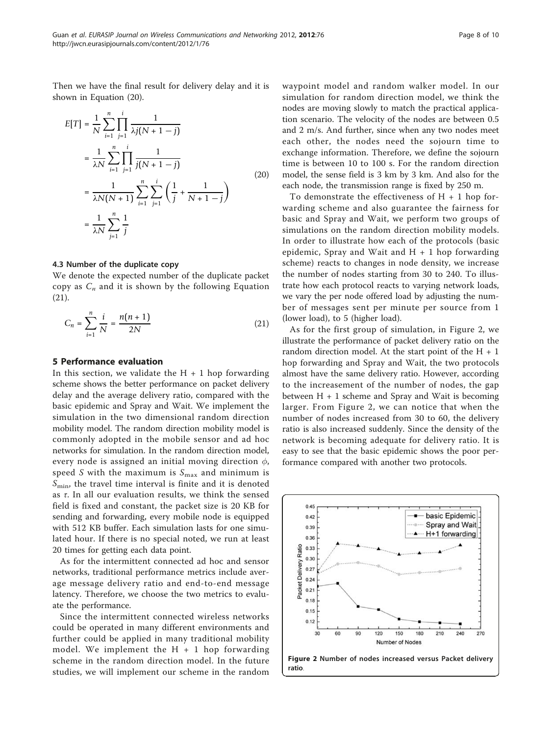Page 8 of 10

Then we have the final result for delivery delay and it is shown in Equation (20).

$$
E[T] = \frac{1}{N} \sum_{i=1}^{n} \prod_{j=1}^{i} \frac{1}{\lambda j (N + 1 - j)}
$$
  
= 
$$
\frac{1}{\lambda N} \sum_{i=1}^{n} \prod_{j=1}^{i} \frac{1}{j (N + 1 - j)}
$$
  
= 
$$
\frac{1}{\lambda N (N + 1)} \sum_{i=1}^{n} \sum_{j=1}^{i} \left( \frac{1}{j} + \frac{1}{N + 1 - j} \right)
$$
(20)  
= 
$$
\frac{1}{\lambda N} \sum_{j=1}^{n} \frac{1}{j}
$$

# 4.3 Number of the duplicate copy

We denote the expected number of the duplicate packet copy as  $C_n$  and it is shown by the following Equation (21).

$$
C_n = \sum_{i=1}^n \frac{i}{N} = \frac{n(n+1)}{2N}
$$
 (21)

#### 5 Performance evaluation

In this section, we validate the  $H + 1$  hop forwarding scheme shows the better performance on packet delivery delay and the average delivery ratio, compared with the basic epidemic and Spray and Wait. We implement the simulation in the two dimensional random direction mobility model. The random direction mobility model is commonly adopted in the mobile sensor and ad hoc networks for simulation. In the random direction model, every node is assigned an initial moving direction  $\phi$ , speed S with the maximum is  $S_{\text{max}}$  and minimum is  $S_{\text{min}}$ , the travel time interval is finite and it is denoted as τ. In all our evaluation results, we think the sensed field is fixed and constant, the packet size is 20 KB for sending and forwarding, every mobile node is equipped with 512 KB buffer. Each simulation lasts for one simulated hour. If there is no special noted, we run at least 20 times for getting each data point.

As for the intermittent connected ad hoc and sensor networks, traditional performance metrics include average message delivery ratio and end-to-end message latency. Therefore, we choose the two metrics to evaluate the performance.

Since the intermittent connected wireless networks could be operated in many different environments and further could be applied in many traditional mobility model. We implement the  $H + 1$  hop forwarding scheme in the random direction model. In the future studies, we will implement our scheme in the random waypoint model and random walker model. In our simulation for random direction model, we think the nodes are moving slowly to match the practical application scenario. The velocity of the nodes are between 0.5 and 2 m/s. And further, since when any two nodes meet each other, the nodes need the sojourn time to exchange information. Therefore, we define the sojourn time is between 10 to 100 s. For the random direction model, the sense field is 3 km by 3 km. And also for the each node, the transmission range is fixed by 250 m.

To demonstrate the effectiveness of  $H + 1$  hop forwarding scheme and also guarantee the fairness for basic and Spray and Wait, we perform two groups of simulations on the random direction mobility models. In order to illustrate how each of the protocols (basic epidemic, Spray and Wait and  $H + 1$  hop forwarding scheme) reacts to changes in node density, we increase the number of nodes starting from 30 to 240. To illustrate how each protocol reacts to varying network loads, we vary the per node offered load by adjusting the number of messages sent per minute per source from 1 (lower load), to 5 (higher load).

As for the first group of simulation, in Figure 2, we illustrate the performance of packet delivery ratio on the random direction model. At the start point of the  $H + 1$ hop forwarding and Spray and Wait, the two protocols almost have the same delivery ratio. However, according to the increasement of the number of nodes, the gap between  $H + 1$  scheme and Spray and Wait is becoming larger. From Figure 2, we can notice that when the number of nodes increased from 30 to 60, the delivery ratio is also increased suddenly. Since the density of the network is becoming adequate for delivery ratio. It is easy to see that the basic epidemic shows the poor performance compared with another two protocols.

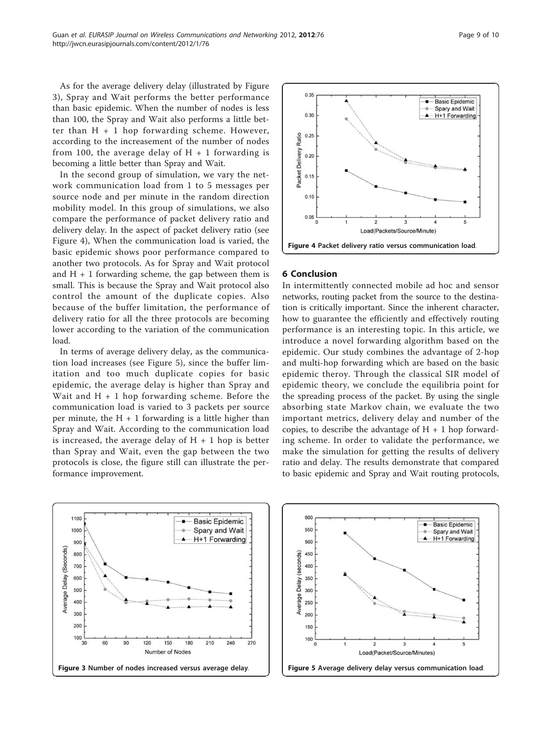As for the average delivery delay (illustrated by Figure 3), Spray and Wait performs the better performance than basic epidemic. When the number of nodes is less than 100, the Spray and Wait also performs a little better than H + 1 hop forwarding scheme. However, according to the increasement of the number of nodes from 100, the average delay of  $H + 1$  forwarding is becoming a little better than Spray and Wait.

In the second group of simulation, we vary the network communication load from 1 to 5 messages per source node and per minute in the random direction mobility model. In this group of simulations, we also compare the performance of packet delivery ratio and delivery delay. In the aspect of packet delivery ratio (see Figure 4), When the communication load is varied, the basic epidemic shows poor performance compared to another two protocols. As for Spray and Wait protocol and  $H + 1$  forwarding scheme, the gap between them is small. This is because the Spray and Wait protocol also control the amount of the duplicate copies. Also because of the buffer limitation, the performance of delivery ratio for all the three protocols are becoming lower according to the variation of the communication load.

In terms of average delivery delay, as the communication load increases (see Figure 5), since the buffer limitation and too much duplicate copies for basic epidemic, the average delay is higher than Spray and Wait and  $H + 1$  hop forwarding scheme. Before the communication load is varied to 3 packets per source per minute, the  $H + 1$  forwarding is a little higher than Spray and Wait. According to the communication load is increased, the average delay of  $H + 1$  hop is better than Spray and Wait, even the gap between the two protocols is close, the figure still can illustrate the performance improvement.



# 6 Conclusion

In intermittently connected mobile ad hoc and sensor networks, routing packet from the source to the destination is critically important. Since the inherent character, how to guarantee the efficiently and effectively routing performance is an interesting topic. In this article, we introduce a novel forwarding algorithm based on the epidemic. Our study combines the advantage of 2-hop and multi-hop forwarding which are based on the basic epidemic theroy. Through the classical SIR model of epidemic theory, we conclude the equilibria point for the spreading process of the packet. By using the single absorbing state Markov chain, we evaluate the two important metrics, delivery delay and number of the copies, to describe the advantage of  $H + 1$  hop forwarding scheme. In order to validate the performance, we make the simulation for getting the results of delivery ratio and delay. The results demonstrate that compared to basic epidemic and Spray and Wait routing protocols,